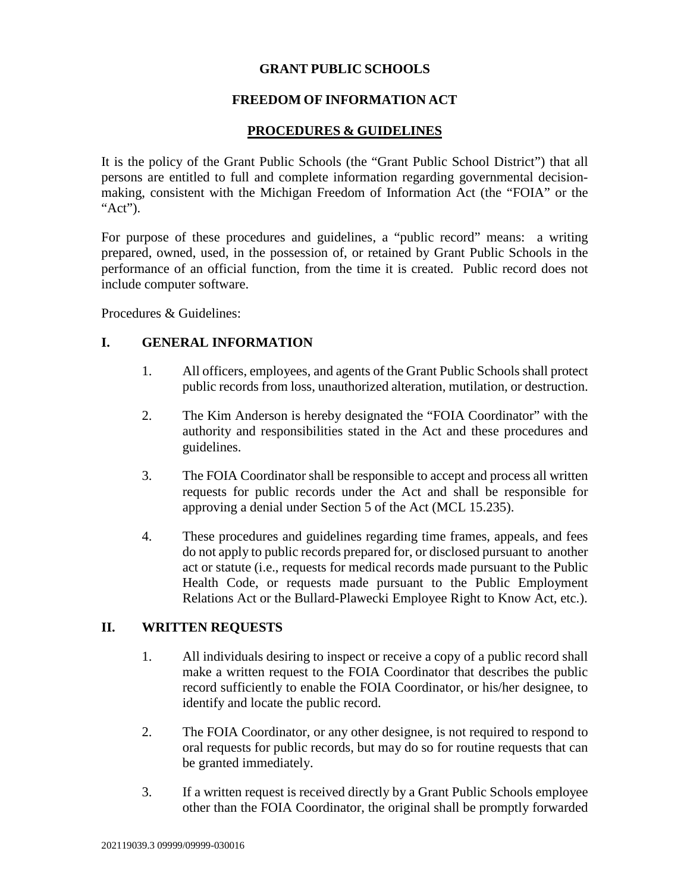#### **GRANT PUBLIC SCHOOLS**

### **FREEDOM OF INFORMATION ACT**

#### **PROCEDURES & GUIDELINES**

It is the policy of the Grant Public Schools (the "Grant Public School District") that all persons are entitled to full and complete information regarding governmental decisionmaking, consistent with the Michigan Freedom of Information Act (the "FOIA" or the " $Act$ ").

For purpose of these procedures and guidelines, a "public record" means: a writing prepared, owned, used, in the possession of, or retained by Grant Public Schools in the performance of an official function, from the time it is created. Public record does not include computer software.

Procedures & Guidelines:

#### **I. GENERAL INFORMATION**

- 1. All officers, employees, and agents of the Grant Public Schools shall protect public records from loss, unauthorized alteration, mutilation, or destruction.
- 2. The Kim Anderson is hereby designated the "FOIA Coordinator" with the authority and responsibilities stated in the Act and these procedures and guidelines.
- 3. The FOIA Coordinator shall be responsible to accept and process all written requests for public records under the Act and shall be responsible for approving a denial under Section 5 of the Act (MCL 15.235).
- 4. These procedures and guidelines regarding time frames, appeals, and fees do not apply to public records prepared for, or disclosed pursuant to another act or statute (i.e., requests for medical records made pursuant to the Public Health Code, or requests made pursuant to the Public Employment Relations Act or the Bullard-Plawecki Employee Right to Know Act, etc.).

#### **II. WRITTEN REQUESTS**

- 1. All individuals desiring to inspect or receive a copy of a public record shall make a written request to the FOIA Coordinator that describes the public record sufficiently to enable the FOIA Coordinator, or his/her designee, to identify and locate the public record.
- 2. The FOIA Coordinator, or any other designee, is not required to respond to oral requests for public records, but may do so for routine requests that can be granted immediately.
- 3. If a written request is received directly by a Grant Public Schools employee other than the FOIA Coordinator, the original shall be promptly forwarded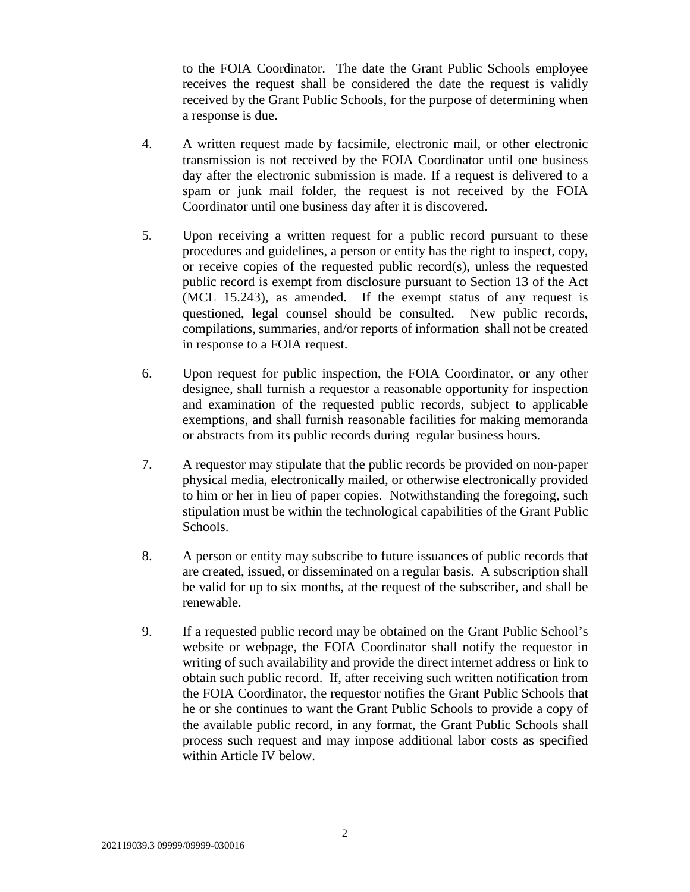to the FOIA Coordinator. The date the Grant Public Schools employee receives the request shall be considered the date the request is validly received by the Grant Public Schools, for the purpose of determining when a response is due.

- 4. A written request made by facsimile, electronic mail, or other electronic transmission is not received by the FOIA Coordinator until one business day after the electronic submission is made. If a request is delivered to a spam or junk mail folder, the request is not received by the FOIA Coordinator until one business day after it is discovered.
- 5. Upon receiving a written request for a public record pursuant to these procedures and guidelines, a person or entity has the right to inspect, copy, or receive copies of the requested public record(s), unless the requested public record is exempt from disclosure pursuant to Section 13 of the Act (MCL 15.243), as amended. If the exempt status of any request is questioned, legal counsel should be consulted. New public records, compilations, summaries, and/or reports of information shall not be created in response to a FOIA request.
- 6. Upon request for public inspection, the FOIA Coordinator, or any other designee, shall furnish a requestor a reasonable opportunity for inspection and examination of the requested public records, subject to applicable exemptions, and shall furnish reasonable facilities for making memoranda or abstracts from its public records during regular business hours.
- 7. A requestor may stipulate that the public records be provided on non-paper physical media, electronically mailed, or otherwise electronically provided to him or her in lieu of paper copies. Notwithstanding the foregoing, such stipulation must be within the technological capabilities of the Grant Public Schools.
- 8. A person or entity may subscribe to future issuances of public records that are created, issued, or disseminated on a regular basis. A subscription shall be valid for up to six months, at the request of the subscriber, and shall be renewable.
- 9. If a requested public record may be obtained on the Grant Public School's website or webpage, the FOIA Coordinator shall notify the requestor in writing of such availability and provide the direct internet address or link to obtain such public record. If, after receiving such written notification from the FOIA Coordinator, the requestor notifies the Grant Public Schools that he or she continues to want the Grant Public Schools to provide a copy of the available public record, in any format, the Grant Public Schools shall process such request and may impose additional labor costs as specified within Article IV below.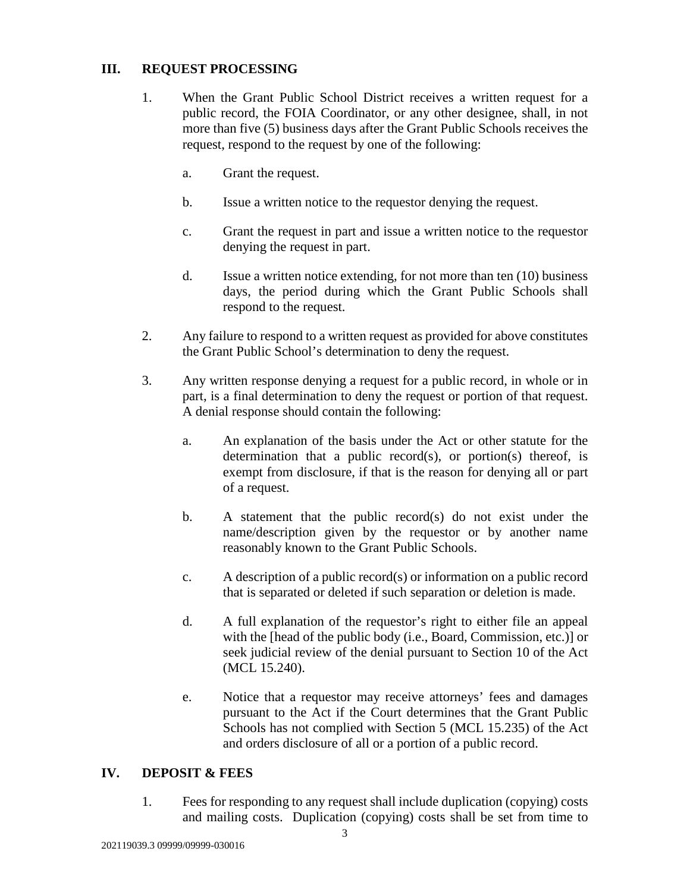# **III. REQUEST PROCESSING**

- 1. When the Grant Public School District receives a written request for a public record, the FOIA Coordinator, or any other designee, shall, in not more than five (5) business days after the Grant Public Schools receives the request, respond to the request by one of the following:
	- a. Grant the request.
	- b. Issue a written notice to the requestor denying the request.
	- c. Grant the request in part and issue a written notice to the requestor denying the request in part.
	- d. Issue a written notice extending, for not more than ten (10) business days, the period during which the Grant Public Schools shall respond to the request.
- 2. Any failure to respond to a written request as provided for above constitutes the Grant Public School's determination to deny the request.
- 3. Any written response denying a request for a public record, in whole or in part, is a final determination to deny the request or portion of that request. A denial response should contain the following:
	- a. An explanation of the basis under the Act or other statute for the determination that a public record(s), or portion(s) thereof, is exempt from disclosure, if that is the reason for denying all or part of a request.
	- b. A statement that the public record(s) do not exist under the name/description given by the requestor or by another name reasonably known to the Grant Public Schools.
	- c. A description of a public record(s) or information on a public record that is separated or deleted if such separation or deletion is made.
	- d. A full explanation of the requestor's right to either file an appeal with the [head of the public body (i.e., Board, Commission, etc.)] or seek judicial review of the denial pursuant to Section 10 of the Act (MCL 15.240).
	- e. Notice that a requestor may receive attorneys' fees and damages pursuant to the Act if the Court determines that the Grant Public Schools has not complied with Section 5 (MCL 15.235) of the Act and orders disclosure of all or a portion of a public record.

## **IV. DEPOSIT & FEES**

1. Fees for responding to any request shall include duplication (copying) costs and mailing costs. Duplication (copying) costs shall be set from time to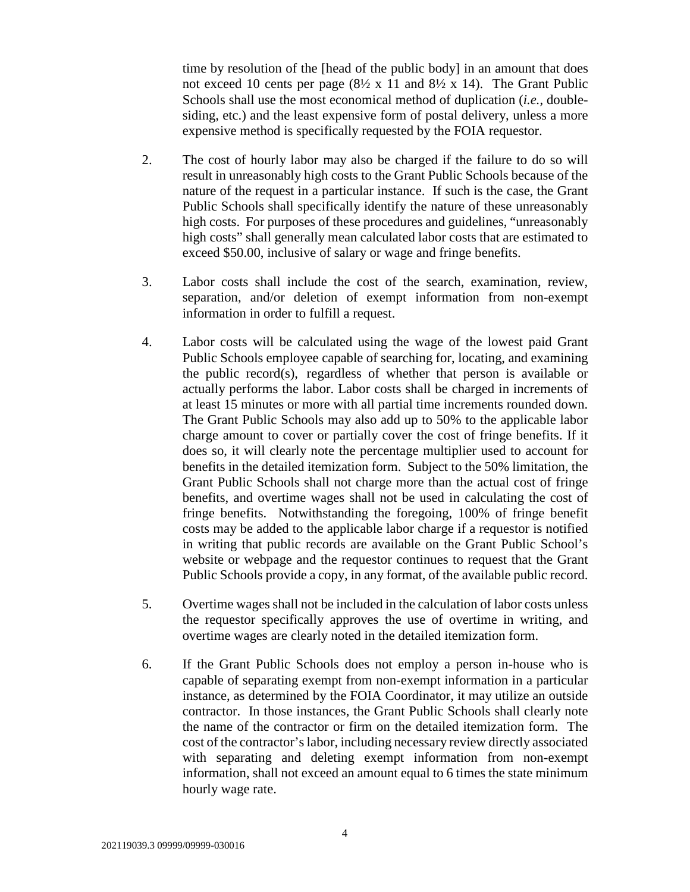time by resolution of the [head of the public body] in an amount that does not exceed 10 cents per page  $(8\frac{1}{2} \times 11 \text{ and } 8\frac{1}{2} \times 14)$ . The Grant Public Schools shall use the most economical method of duplication (*i.e.*, doublesiding, etc.) and the least expensive form of postal delivery, unless a more expensive method is specifically requested by the FOIA requestor.

- 2. The cost of hourly labor may also be charged if the failure to do so will result in unreasonably high costs to the Grant Public Schools because of the nature of the request in a particular instance. If such is the case, the Grant Public Schools shall specifically identify the nature of these unreasonably high costs. For purposes of these procedures and guidelines, "unreasonably high costs" shall generally mean calculated labor costs that are estimated to exceed \$50.00, inclusive of salary or wage and fringe benefits.
- 3. Labor costs shall include the cost of the search, examination, review, separation, and/or deletion of exempt information from non-exempt information in order to fulfill a request.
- 4. Labor costs will be calculated using the wage of the lowest paid Grant Public Schools employee capable of searching for, locating, and examining the public record(s), regardless of whether that person is available or actually performs the labor. Labor costs shall be charged in increments of at least 15 minutes or more with all partial time increments rounded down. The Grant Public Schools may also add up to 50% to the applicable labor charge amount to cover or partially cover the cost of fringe benefits. If it does so, it will clearly note the percentage multiplier used to account for benefits in the detailed itemization form. Subject to the 50% limitation, the Grant Public Schools shall not charge more than the actual cost of fringe benefits, and overtime wages shall not be used in calculating the cost of fringe benefits. Notwithstanding the foregoing, 100% of fringe benefit costs may be added to the applicable labor charge if a requestor is notified in writing that public records are available on the Grant Public School's website or webpage and the requestor continues to request that the Grant Public Schools provide a copy, in any format, of the available public record.
- 5. Overtime wages shall not be included in the calculation of labor costs unless the requestor specifically approves the use of overtime in writing, and overtime wages are clearly noted in the detailed itemization form.
- 6. If the Grant Public Schools does not employ a person in-house who is capable of separating exempt from non-exempt information in a particular instance, as determined by the FOIA Coordinator, it may utilize an outside contractor. In those instances, the Grant Public Schools shall clearly note the name of the contractor or firm on the detailed itemization form. The cost of the contractor's labor, including necessary review directly associated with separating and deleting exempt information from non-exempt information, shall not exceed an amount equal to 6 times the state minimum hourly wage rate.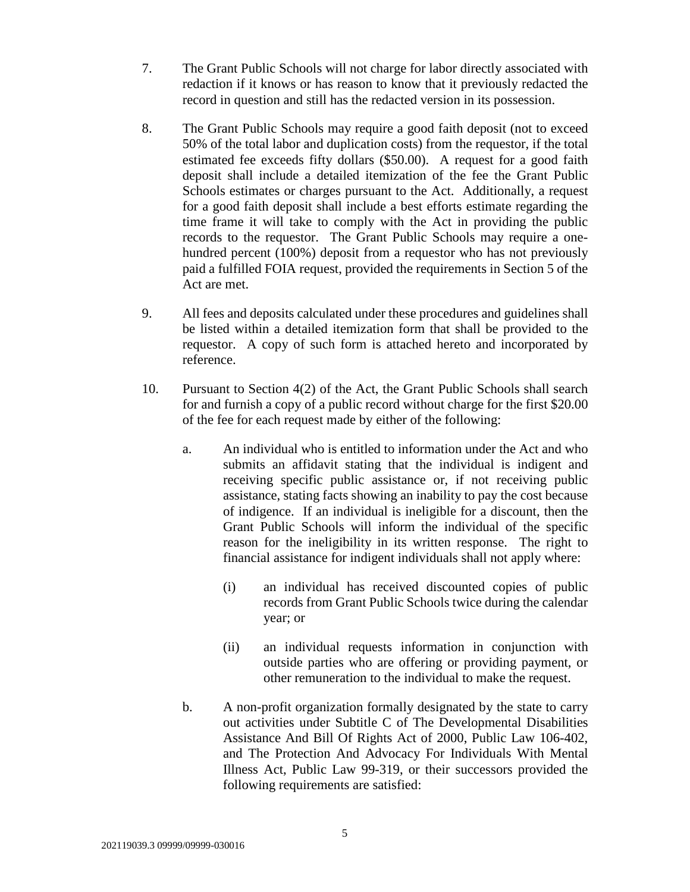- 7. The Grant Public Schools will not charge for labor directly associated with redaction if it knows or has reason to know that it previously redacted the record in question and still has the redacted version in its possession.
- 8. The Grant Public Schools may require a good faith deposit (not to exceed 50% of the total labor and duplication costs) from the requestor, if the total estimated fee exceeds fifty dollars (\$50.00). A request for a good faith deposit shall include a detailed itemization of the fee the Grant Public Schools estimates or charges pursuant to the Act. Additionally, a request for a good faith deposit shall include a best efforts estimate regarding the time frame it will take to comply with the Act in providing the public records to the requestor. The Grant Public Schools may require a onehundred percent (100%) deposit from a requestor who has not previously paid a fulfilled FOIA request, provided the requirements in Section 5 of the Act are met.
- 9. All fees and deposits calculated under these procedures and guidelines shall be listed within a detailed itemization form that shall be provided to the requestor. A copy of such form is attached hereto and incorporated by reference.
- 10. Pursuant to Section 4(2) of the Act, the Grant Public Schools shall search for and furnish a copy of a public record without charge for the first \$20.00 of the fee for each request made by either of the following:
	- a. An individual who is entitled to information under the Act and who submits an affidavit stating that the individual is indigent and receiving specific public assistance or, if not receiving public assistance, stating facts showing an inability to pay the cost because of indigence. If an individual is ineligible for a discount, then the Grant Public Schools will inform the individual of the specific reason for the ineligibility in its written response.The right to financial assistance for indigent individuals shall not apply where:
		- (i) an individual has received discounted copies of public records from Grant Public Schools twice during the calendar year; or
		- (ii) an individual requests information in conjunction with outside parties who are offering or providing payment, or other remuneration to the individual to make the request.
	- b. A non-profit organization formally designated by the state to carry out activities under Subtitle C of The Developmental Disabilities Assistance And Bill Of Rights Act of 2000, Public Law 106-402, and The Protection And Advocacy For Individuals With Mental Illness Act, Public Law 99-319, or their successors provided the following requirements are satisfied: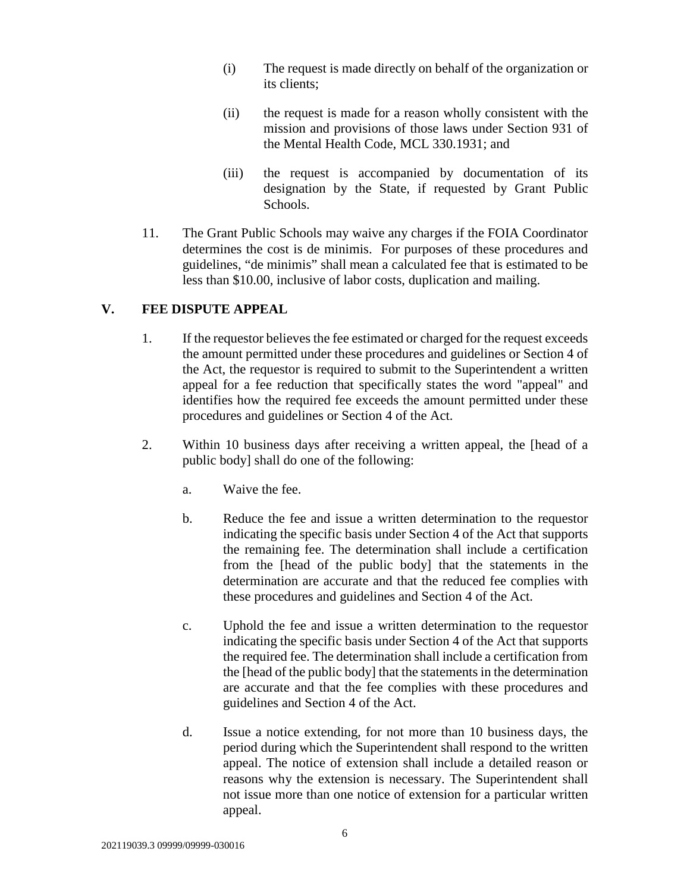- (i) The request is made directly on behalf of the organization or its clients;
- (ii) the request is made for a reason wholly consistent with the mission and provisions of those laws under Section 931 of the Mental Health Code, MCL 330.1931; and
- (iii) the request is accompanied by documentation of its designation by the State, if requested by Grant Public Schools.
- 11. The Grant Public Schools may waive any charges if the FOIA Coordinator determines the cost is de minimis. For purposes of these procedures and guidelines, "de minimis" shall mean a calculated fee that is estimated to be less than \$10.00, inclusive of labor costs, duplication and mailing.

# **V. FEE DISPUTE APPEAL**

- 1. If the requestor believes the fee estimated or charged for the request exceeds the amount permitted under these procedures and guidelines or Section 4 of the Act, the requestor is required to submit to the Superintendent a written appeal for a fee reduction that specifically states the word "appeal" and identifies how the required fee exceeds the amount permitted under these procedures and guidelines or Section 4 of the Act.
- 2. Within 10 business days after receiving a written appeal, the [head of a public body] shall do one of the following:
	- a. Waive the fee.
	- b. Reduce the fee and issue a written determination to the requestor indicating the specific basis under Section 4 of the Act that supports the remaining fee. The determination shall include a certification from the [head of the public body] that the statements in the determination are accurate and that the reduced fee complies with these procedures and guidelines and Section 4 of the Act.
	- c. Uphold the fee and issue a written determination to the requestor indicating the specific basis under Section 4 of the Act that supports the required fee. The determination shall include a certification from the [head of the public body] that the statements in the determination are accurate and that the fee complies with these procedures and guidelines and Section 4 of the Act.
	- d. Issue a notice extending, for not more than 10 business days, the period during which the Superintendent shall respond to the written appeal. The notice of extension shall include a detailed reason or reasons why the extension is necessary. The Superintendent shall not issue more than one notice of extension for a particular written appeal.